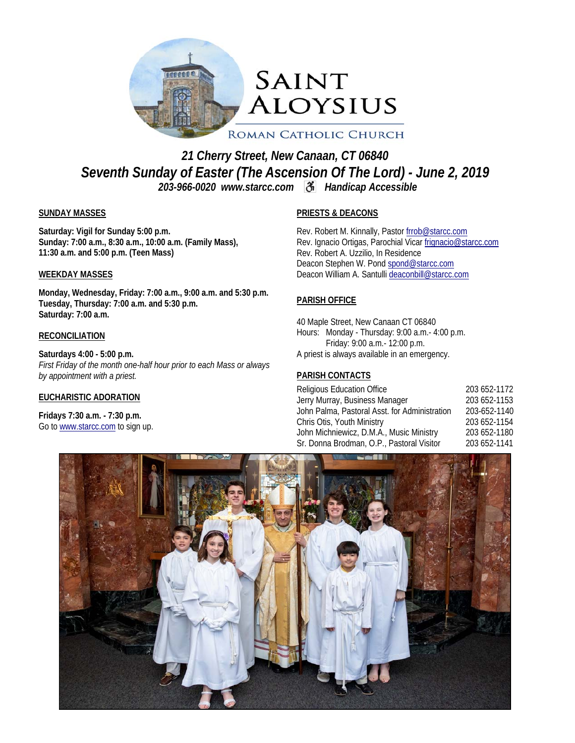

*21 Cherry Street, New Canaan, CT 06840 Seventh Sunday of Easter (The Ascension Of The Lord) - June 2, 2019 203-966-0020 www.starcc.com Handicap Accessible* 

#### **SUNDAY MASSES**

**Saturday: Vigil for Sunday 5:00 p.m. Sunday: 7:00 a.m., 8:30 a.m., 10:00 a.m. (Family Mass), 11:30 a.m. and 5:00 p.m. (Teen Mass)** 

#### **WEEKDAY MASSES**

**Monday, Wednesday, Friday: 7:00 a.m., 9:00 a.m. and 5:30 p.m. Tuesday, Thursday: 7:00 a.m. and 5:30 p.m. Saturday: 7:00 a.m.** 

#### **RECONCILIATION**

**Saturdays 4:00 - 5:00 p.m.**  *First Friday of the month one-half hour prior to each Mass or always by appointment with a priest.* 

#### **EUCHARISTIC ADORATION**

**Fridays 7:30 a.m. - 7:30 p.m.**  Go to www.starcc.com to sign up.

#### **PRIESTS & DEACONS**

Rev. Robert M. Kinnally, Pastor frrob@starcc.com Rev. Ignacio Ortigas, Parochial Vicar frignacio@starcc.com Rev. Robert A. Uzzilio, In Residence Deacon Stephen W. Pond spond@starcc.com Deacon William A. Santulli deaconbill@starcc.com

#### **PARISH OFFICE**

40 Maple Street, New Canaan CT 06840 Hours: Monday - Thursday: 9:00 a.m.- 4:00 p.m. Friday: 9:00 a.m.- 12:00 p.m. A priest is always available in an emergency.

#### **PARISH CONTACTS**

| <b>Religious Education Office</b>             | 203 652-1172 |
|-----------------------------------------------|--------------|
| Jerry Murray, Business Manager                | 203 652-1153 |
| John Palma, Pastoral Asst. for Administration | 203-652-1140 |
| Chris Otis, Youth Ministry                    | 203 652-1154 |
| John Michniewicz, D.M.A., Music Ministry      | 203 652-1180 |
| Sr. Donna Brodman, O.P., Pastoral Visitor     | 203 652-1141 |

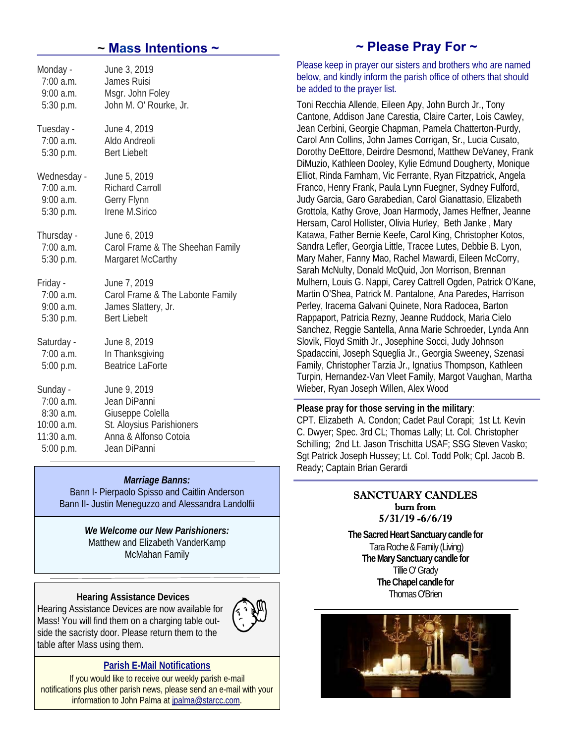| Monday -     | June 3, 2019                     |
|--------------|----------------------------------|
| $7:00$ a.m.  | <b>James Ruisi</b>               |
| $9:00$ a.m.  | Msgr. John Foley                 |
| 5:30 p.m.    | John M. O' Rourke, Jr.           |
| Tuesday -    | June 4, 2019                     |
| $7:00$ a.m.  | Aldo Andreoli                    |
| 5:30 p.m.    | <b>Bert Liebelt</b>              |
| Wednesday -  | June 5, 2019                     |
| 7:00 a.m.    | <b>Richard Carroll</b>           |
| $9:00$ a.m.  | Gerry Flynn                      |
| 5:30 p.m.    | Irene M.Sirico                   |
| Thursday -   | June 6, 2019                     |
| 7:00 a.m.    | Carol Frame & The Sheehan Family |
| 5:30 p.m.    | Margaret McCarthy                |
| Friday -     | June 7, 2019                     |
| 7:00 a.m.    | Carol Frame & The Labonte Family |
| 9:00 a.m.    | James Slattery, Jr.              |
| $5:30$ p.m.  | <b>Bert Liebelt</b>              |
| Saturday -   | June 8, 2019                     |
| $7:00$ a.m.  | In Thanksgiving                  |
| 5:00 p.m.    | <b>Beatrice LaForte</b>          |
| Sunday -     | June 9, 2019                     |
| $7:00$ a.m.  | Jean DiPanni                     |
| 8:30 a.m.    | Giuseppe Colella                 |
| $10:00$ a.m. | St. Aloysius Parishioners        |
| 11:30 a.m.   | Anna & Alfonso Cotoia            |
| 5:00 p.m.    | Jean DiPanni                     |

#### *Marriage Banns:*

Bann I- Pierpaolo Spisso and Caitlin Anderson Bann II- Justin Meneguzzo and Alessandra Landolfii

> *We Welcome our New Parishioners:* Matthew and Elizabeth VanderKamp McMahan Family

#### **Hearing Assistance Devices**

Hearing Assistance Devices are now available for Mass! You will find them on a charging table outside the sacristy door. Please return them to the table after Mass using them.



#### **Parish E-Mail Notifications**

If you would like to receive our weekly parish e-mail notifications plus other parish news, please send an e-mail with your information to John Palma at jpalma@starcc.com.

# *~* **Mass Intentions ~ ~ Please Pray For ~**

Please keep in prayer our sisters and brothers who are named below, and kindly inform the parish office of others that should be added to the prayer list.

Toni Recchia Allende, Eileen Apy, John Burch Jr., Tony Cantone, Addison Jane Carestia, Claire Carter, Lois Cawley, Jean Cerbini, Georgie Chapman, Pamela Chatterton-Purdy, Carol Ann Collins, John James Corrigan, Sr., Lucia Cusato, Dorothy DeEttore, Deirdre Desmond, Matthew DeVaney, Frank DiMuzio, Kathleen Dooley, Kylie Edmund Dougherty, Monique Elliot, Rinda Farnham, Vic Ferrante, Ryan Fitzpatrick, Angela Franco, Henry Frank, Paula Lynn Fuegner, Sydney Fulford, Judy Garcia, Garo Garabedian, Carol Gianattasio, Elizabeth Grottola, Kathy Grove, Joan Harmody, James Heffner, Jeanne Hersam, Carol Hollister, Olivia Hurley, Beth Janke , Mary Katawa, Father Bernie Keefe, Carol King, Christopher Kotos, Sandra Lefler, Georgia Little, Tracee Lutes, Debbie B. Lyon, Mary Maher, Fanny Mao, Rachel Mawardi, Eileen McCorry, Sarah McNulty, Donald McQuid, Jon Morrison, Brennan Mulhern, Louis G. Nappi, Carey Cattrell Ogden, Patrick O'Kane, Martin O'Shea, Patrick M. Pantalone, Ana Paredes, Harrison Perley, Iracema Galvani Quinete, Nora Radocea, Barton Rappaport, Patricia Rezny, Jeanne Ruddock, Maria Cielo Sanchez, Reggie Santella, Anna Marie Schroeder, Lynda Ann Slovik, Floyd Smith Jr., Josephine Socci, Judy Johnson Spadaccini, Joseph Squeglia Jr., Georgia Sweeney, Szenasi Family, Christopher Tarzia Jr., Ignatius Thompson, Kathleen Turpin, Hernandez-Van Vleet Family, Margot Vaughan, Martha Wieber, Ryan Joseph Willen, Alex Wood

#### **Please pray for those serving in the military**:

CPT. Elizabeth A. Condon; Cadet Paul Corapi; 1st Lt. Kevin C. Dwyer; Spec. 3rd CL; Thomas Lally; Lt. Col. Christopher Schilling; 2nd Lt. Jason Trischitta USAF; SSG Steven Vasko; Sgt Patrick Joseph Hussey; Lt. Col. Todd Polk; Cpl. Jacob B. Ready; Captain Brian Gerardi

#### SANCTUARY CANDLES burn from 5/31/19 -6/6/19

**The Sacred Heart Sanctuary candle for** Tara Roche & Family (Living) **The Mary Sanctuary candle for**  Tillie O' Grady **The Chapel candle for** Thomas O'Brien

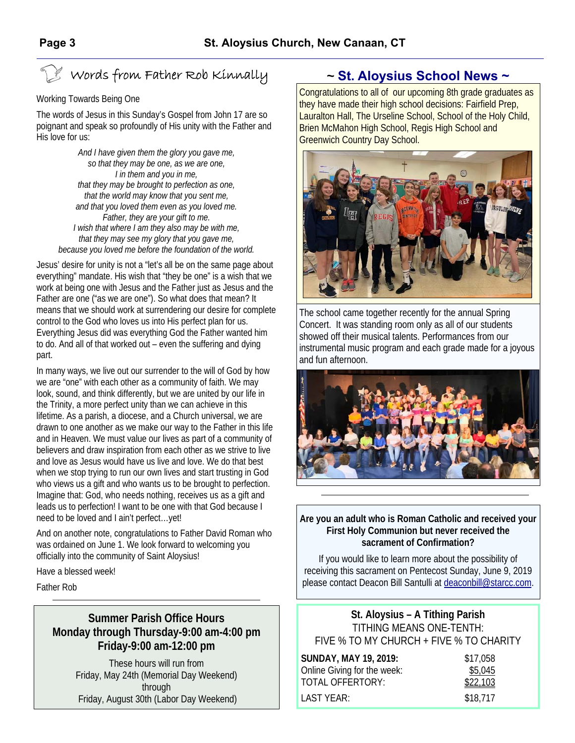# Words from Father Rob Kinnally

#### Working Towards Being One

The words of Jesus in this Sunday's Gospel from John 17 are so poignant and speak so profoundly of His unity with the Father and His love for us:

*And I have given them the glory you gave me, so that they may be one, as we are one, I in them and you in me, that they may be brought to perfection as one, that the world may know that you sent me, and that you loved them even as you loved me. Father, they are your gift to me. I wish that where I am they also may be with me, that they may see my glory that you gave me, because you loved me before the foundation of the world.* 

Jesus' desire for unity is not a "let's all be on the same page about everything" mandate. His wish that "they be one" is a wish that we work at being one with Jesus and the Father just as Jesus and the Father are one ("as we are one"). So what does that mean? It means that we should work at surrendering our desire for complete control to the God who loves us into His perfect plan for us. Everything Jesus did was everything God the Father wanted him to do. And all of that worked out – even the suffering and dying part.

In many ways, we live out our surrender to the will of God by how we are "one" with each other as a community of faith. We may look, sound, and think differently, but we are united by our life in the Trinity, a more perfect unity than we can achieve in this lifetime. As a parish, a diocese, and a Church universal, we are drawn to one another as we make our way to the Father in this life and in Heaven. We must value our lives as part of a community of believers and draw inspiration from each other as we strive to live and love as Jesus would have us live and love. We do that best when we stop trying to run our own lives and start trusting in God who views us a gift and who wants us to be brought to perfection. Imagine that: God, who needs nothing, receives us as a gift and leads us to perfection! I want to be one with that God because I need to be loved and I ain't perfect…yet!

And on another note, congratulations to Father David Roman who was ordained on June 1. We look forward to welcoming you officially into the community of Saint Aloysius!

Have a blessed week!

Father Rob

### **Summer Parish Office Hours Monday through Thursday-9:00 am-4:00 pm Friday-9:00 am-12:00 pm**

These hours will run from Friday, May 24th (Memorial Day Weekend) through Friday, August 30th (Labor Day Weekend)

# *~* **St. Aloysius School News ~**

Congratulations to all of our upcoming 8th grade graduates as they have made their high school decisions: Fairfield Prep, Lauralton Hall, The Urseline School, School of the Holy Child, Brien McMahon High School, Regis High School and Greenwich Country Day School.



The school came together recently for the annual Spring Concert. It was standing room only as all of our students showed off their musical talents. Performances from our instrumental music program and each grade made for a joyous and fun afternoon.



#### **Are you an adult who is Roman Catholic and received your First Holy Communion but never received the sacrament of Confirmation?**

If you would like to learn more about the possibility of receiving this sacrament on Pentecost Sunday, June 9, 2019 please contact Deacon Bill Santulli at deaconbill@starcc.com.

**St. Aloysius – A Tithing Parish**  TITHING MEANS ONE-TENTH: FIVE % TO MY CHURCH + FIVE % TO CHARITY

| <b>SUNDAY, MAY 19, 2019:</b> | \$17,058 |
|------------------------------|----------|
| Online Giving for the week:  | \$5,045  |
| TOTAL OFFERTORY:             | \$22,103 |
| LAST YEAR:                   | \$18,717 |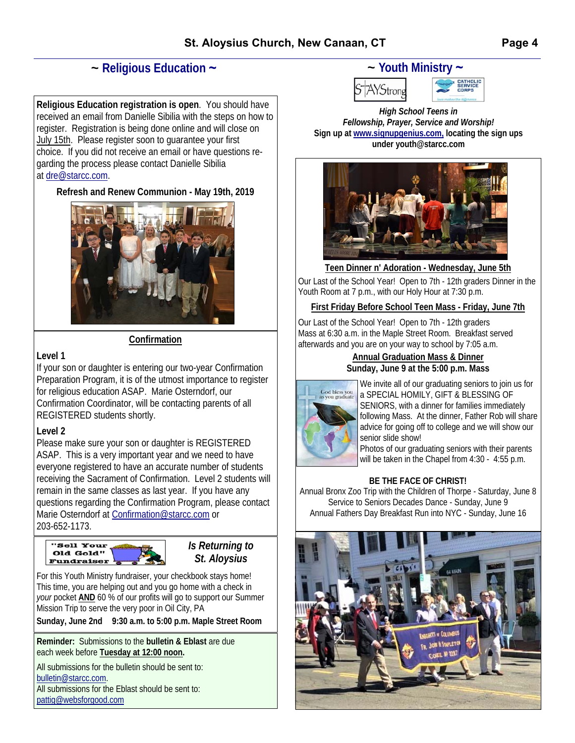# *~* **Religious Education ~**

**Religious Education registration is open**. You should have received an email from Danielle Sibilia with the steps on how to register. Registration is being done online and will close on July 15th. Please register soon to guarantee your first choice. If you did not receive an email or have questions regarding the process please contact Danielle Sibilia at dre@starcc.com.

#### **Refresh and Renew Communion - May 19th, 2019**



#### **Confirmation**

#### **Level 1**

If your son or daughter is entering our two-year Confirmation Preparation Program, it is of the utmost importance to register for religious education ASAP. Marie Osterndorf, our Confirmation Coordinator, will be contacting parents of all REGISTERED students shortly.

### **Level 2**

Please make sure your son or daughter is REGISTERED ASAP. This is a very important year and we need to have everyone registered to have an accurate number of students receiving the Sacrament of Confirmation. Level 2 students will remain in the same classes as last year. If you have any questions regarding the Confirmation Program, please contact Marie Osterndorf at Confirmation@starcc.com or 203-652-1173.



*Is Returning to St. Aloysius* 

For this Youth Ministry fundraiser, your checkbook stays home! This time, you are helping out and you go home with a check in *your* pocket **AND** 60 % of our profits will go to support our Summer Mission Trip to serve the very poor in Oil City, PA

**Sunday, June 2nd 9:30 a.m. to 5:00 p.m. Maple Street Room** 

**Reminder:** Submissions to the **bulletin & Eblast** are due each week before **Tuesday at 12:00 noon.** 

All submissions for the bulletin should be sent to: bulletin@starcc.com. All submissions for the Eblast should be sent to: pattig@websforgood.com

# *~* **Youth Ministry ~**



*High School Teens in Fellowship, Prayer, Service and Worship!*  **Sign up at www.signupgenius.com, locating the sign ups under youth@starcc.com**



**Teen Dinner n' Adoration - Wednesday, June 5th**  Our Last of the School Year! Open to 7th - 12th graders Dinner in the Youth Room at 7 p.m., with our Holy Hour at 7:30 p.m.

#### **First Friday Before School Teen Mass - Friday, June 7th**

Our Last of the School Year! Open to 7th - 12th graders Mass at 6:30 a.m. in the Maple Street Room. Breakfast served afterwards and you are on your way to school by 7:05 a.m.

> **Annual Graduation Mass & Dinner Sunday, June 9 at the 5:00 p.m. Mass**



We invite all of our graduating seniors to join us for a SPECIAL HOMILY, GIFT & BLESSING OF SENIORS, with a dinner for families immediately following Mass. At the dinner, Father Rob will share advice for going off to college and we will show our senior slide show!

Photos of our graduating seniors with their parents will be taken in the Chapel from 4:30 - 4:55 p.m.

#### **BE THE FACE OF CHRIST!**

Annual Bronx Zoo Trip with the Children of Thorpe - Saturday, June 8 Service to Seniors Decades Dance - Sunday, June 9 Annual Fathers Day Breakfast Run into NYC - Sunday, June 16

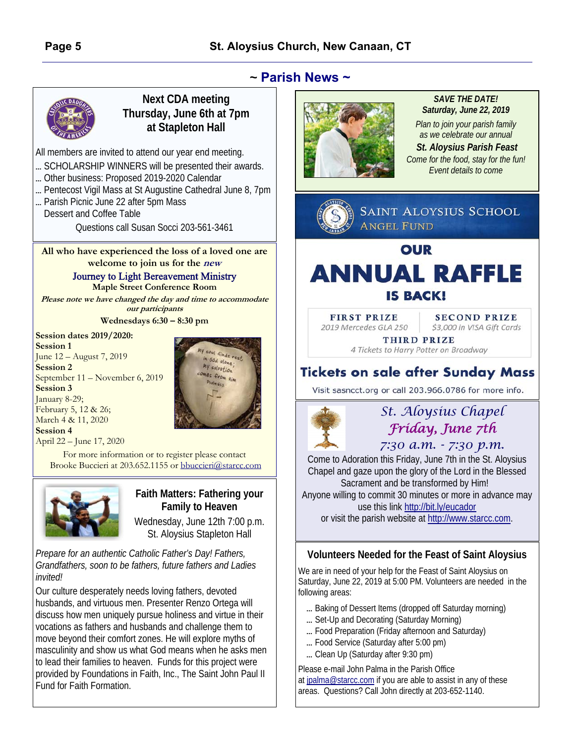

### **Next CDA meeting Thursday, June 6th at 7pm at Stapleton Hall**

All members are invited to attend our year end meeting.

- ... SCHOLARSHIP WINNERS will be presented their awards.
- ... Other business: Proposed 2019-2020 Calendar
- ... Pentecost Vigil Mass at St Augustine Cathedral June 8, 7pm
- ... Parish Picnic June 22 after 5pm Mass

Dessert and Coffee Table Questions call Susan Socci 203-561-3461

**All who have experienced the loss of a loved one are welcome to join us for the new** 

> Journey to Light Bereavement Ministry **Maple Street Conference Room**

**Please note we have changed the day and time to accommodate our participants** 

**Wednesdays 6:30 – 8:30 pm** 

#### **Session dates 2019/2020:**

**Session 1** June 12 – August 7, 2019 **Session 2** September 11 – November 6, 2019 **Session 3** January 8-29; February 5, 12 & 26; March 4 & 11, 2020 **Session 4** April 22 – June 17, 2020



For more information or to register please contact Brooke Buccieri at 203.652.1155 or bbuccieri@starcc.com



### **Faith Matters: Fathering your Family to Heaven**

Wednesday, June 12th 7:00 p.m. St. Aloysius Stapleton Hall

*Prepare for an authentic Catholic Father's Day! Fathers, Grandfathers, soon to be fathers, future fathers and Ladies invited!* 

Our culture desperately needs loving fathers, devoted husbands, and virtuous men. Presenter Renzo Ortega will discuss how men uniquely pursue holiness and virtue in their vocations as fathers and husbands and challenge them to move beyond their comfort zones. He will explore myths of masculinity and show us what God means when he asks men to lead their families to heaven. Funds for this project were provided by Foundations in Faith, Inc., The Saint John Paul II Fund for Faith Formation.



#### *SAVE THE DATE! Saturday, June 22, 2019*

*Plan to join your parish family as we celebrate our annual* 

*St. Aloysius Parish Feast Come for the food, stay for the fun! Event details to come* 



**FIRST PRIZE** 2019 Mercedes GLA 250

**SECOND PRIZE** \$3,000 in VISA Gift Cards

THIRD PRIZE 4 Tickets to Harry Potter on Broadway

# **Tickets on sale after Sunday Mass**

Visit sasncct.org or call 203.966.0786 for more info.



# *St. Aloysius Chapel Friday, June 7th*

*7:30 a.m. - 7:30 p.m.* 

Come to Adoration this Friday, June 7th in the St. Aloysius Chapel and gaze upon the glory of the Lord in the Blessed Sacrament and be transformed by Him!

Anyone willing to commit 30 minutes or more in advance may use this link http://bit.ly/eucador

or visit the parish website at http://www.starcc.com.

## **Volunteers Needed for the Feast of Saint Aloysius**

We are in need of your help for the Feast of Saint Aloysius on Saturday, June 22, 2019 at 5:00 PM. Volunteers are needed in the following areas:

- ... Baking of Dessert Items (dropped off Saturday morning)
- ... Set-Up and Decorating (Saturday Morning)
- ... Food Preparation (Friday afternoon and Saturday)
- ... Food Service (Saturday after 5:00 pm)
- ... Clean Up (Saturday after 9:30 pm)

Please e-mail John Palma in the Parish Office at jpalma@starcc.com if you are able to assist in any of these areas. Questions? Call John directly at 203-652-1140.

*~* **Parish News ~**